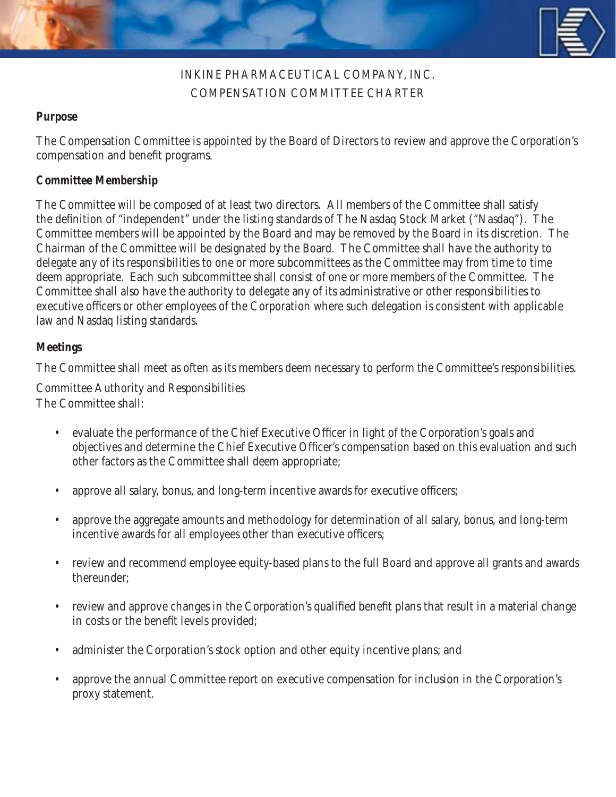

## INKINE PHARMACEUTICAL COMPANY, INC. COMPENSATION COMMITTEE CHARTER

## **Purpose**

The Compensation Committee is appointed by the Board of Directors to review and approve the Corporation's compensation and benefit programs.

## **Committee Membership**

The Committee will be composed of at least two directors. All members of the Committee shall satisfy the definition of "independent" under the listing standards of The Nasdaq Stock Market ("Nasdaq"). The Committee members will be appointed by the Board and may be removed by the Board in its discretion. The Chairman of the Committee will be designated by the Board. The Committee shall have the authority to delegate any of its responsibilities to one or more subcommittees as the Committee may from time to time deem appropriate. Each such subcommittee shall consist of one or more members of the Committee. The Committee shall also have the authority to delegate any of its administrative or other responsibilities to executive officers or other employees of the Corporation where such delegation is consistent with applicable law and Nasdaq listing standards.

## **Meetings**

The Committee shall meet as often as its members deem necessary to perform the Committee's responsibilities.

Committee Authority and Responsibilities The Committee shall:

- evaluate the performance of the Chief Executive Officer in light of the Corporation's goals and objectives and determine the Chief Executive Officer's compensation based on this evaluation and such other factors as the Committee shall deem appropriate;
- approve all salary, bonus, and long-term incentive awards for executive officers;
- approve the aggregate amounts and methodology for determination of all salary, bonus, and long-term incentive awards for all employees other than executive officers;
- review and recommend employee equity-based plans to the full Board and approve all grants and awards thereunder;
- review and approve changes in the Corporation's qualified benefit plans that result in a material change in costs or the benefit levels provided;
- administer the Corporation's stock option and other equity incentive plans; and
- approve the annual Committee report on executive compensation for inclusion in the Corporation's proxy statement.